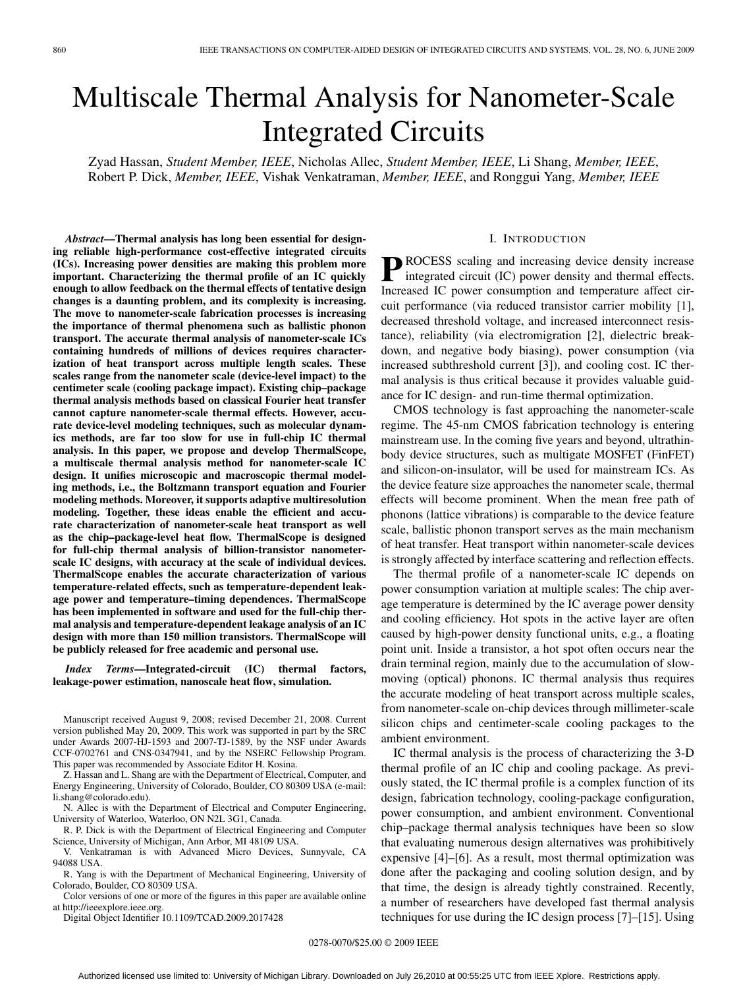# Multiscale Thermal Analysis for Nanometer-Scale Integrated Circuits

Zyad Hassan, *Student Member, IEEE*, Nicholas Allec, *Student Member, IEEE*, Li Shang, *Member, IEEE*, Robert P. Dick, *Member, IEEE*, Vishak Venkatraman, *Member, IEEE*, and Ronggui Yang, *Member, IEEE*

*Abstract***—Thermal analysis has long been essential for designing reliable high-performance cost-effective integrated circuits (ICs). Increasing power densities are making this problem more important. Characterizing the thermal profile of an IC quickly enough to allow feedback on the thermal effects of tentative design changes is a daunting problem, and its complexity is increasing. The move to nanometer-scale fabrication processes is increasing the importance of thermal phenomena such as ballistic phonon transport. The accurate thermal analysis of nanometer-scale ICs containing hundreds of millions of devices requires characterization of heat transport across multiple length scales. These scales range from the nanometer scale (device-level impact) to the centimeter scale (cooling package impact). Existing chip–package thermal analysis methods based on classical Fourier heat transfer cannot capture nanometer-scale thermal effects. However, accurate device-level modeling techniques, such as molecular dynamics methods, are far too slow for use in full-chip IC thermal analysis. In this paper, we propose and develop ThermalScope, a multiscale thermal analysis method for nanometer-scale IC design. It unifies microscopic and macroscopic thermal modeling methods, i.e., the Boltzmann transport equation and Fourier modeling methods. Moreover, it supports adaptive multiresolution modeling. Together, these ideas enable the efficient and accurate characterization of nanometer-scale heat transport as well as the chip–package-level heat flow. ThermalScope is designed for full-chip thermal analysis of billion-transistor nanometerscale IC designs, with accuracy at the scale of individual devices. ThermalScope enables the accurate characterization of various temperature-related effects, such as temperature-dependent leakage power and temperature–timing dependences. ThermalScope has been implemented in software and used for the full-chip thermal analysis and temperature-dependent leakage analysis of an IC design with more than 150 million transistors. ThermalScope will be publicly released for free academic and personal use.**

*Index Terms***—Integrated-circuit (IC) thermal factors, leakage-power estimation, nanoscale heat flow, simulation.**

Manuscript received August 9, 2008; revised December 21, 2008. Current version published May 20, 2009. This work was supported in part by the SRC under Awards 2007-HJ-1593 and 2007-TJ-1589, by the NSF under Awards CCF-0702761 and CNS-0347941, and by the NSERC Fellowship Program. This paper was recommended by Associate Editor H. Kosina.

Z. Hassan and L. Shang are with the Department of Electrical, Computer, and Energy Engineering, University of Colorado, Boulder, CO 80309 USA (e-mail: li.shang@colorado.edu).

N. Allec is with the Department of Electrical and Computer Engineering, University of Waterloo, Waterloo, ON N2L 3G1, Canada.

R. P. Dick is with the Department of Electrical Engineering and Computer Science, University of Michigan, Ann Arbor, MI 48109 USA.

V. Venkatraman is with Advanced Micro Devices, Sunnyvale, CA 94088 USA.

R. Yang is with the Department of Mechanical Engineering, University of Colorado, Boulder, CO 80309 USA.

Color versions of one or more of the figures in this paper are available online at http://ieeexplore.ieee.org.

Digital Object Identifier 10.1109/TCAD.2009.2017428

#### I. INTRODUCTION

**P** ROCESS scaling and increasing device density increase integrated circuit (IC) power density and thermal effects. integrated circuit (IC) power density and thermal effects. Increased IC power consumption and temperature affect circuit performance (via reduced transistor carrier mobility [1], decreased threshold voltage, and increased interconnect resistance), reliability (via electromigration [2], dielectric breakdown, and negative body biasing), power consumption (via increased subthreshold current [3]), and cooling cost. IC thermal analysis is thus critical because it provides valuable guidance for IC design- and run-time thermal optimization.

CMOS technology is fast approaching the nanometer-scale regime. The 45-nm CMOS fabrication technology is entering mainstream use. In the coming five years and beyond, ultrathinbody device structures, such as multigate MOSFET (FinFET) and silicon-on-insulator, will be used for mainstream ICs. As the device feature size approaches the nanometer scale, thermal effects will become prominent. When the mean free path of phonons (lattice vibrations) is comparable to the device feature scale, ballistic phonon transport serves as the main mechanism of heat transfer. Heat transport within nanometer-scale devices is strongly affected by interface scattering and reflection effects.

The thermal profile of a nanometer-scale IC depends on power consumption variation at multiple scales: The chip average temperature is determined by the IC average power density and cooling efficiency. Hot spots in the active layer are often caused by high-power density functional units, e.g., a floating point unit. Inside a transistor, a hot spot often occurs near the drain terminal region, mainly due to the accumulation of slowmoving (optical) phonons. IC thermal analysis thus requires the accurate modeling of heat transport across multiple scales, from nanometer-scale on-chip devices through millimeter-scale silicon chips and centimeter-scale cooling packages to the ambient environment.

IC thermal analysis is the process of characterizing the 3-D thermal profile of an IC chip and cooling package. As previously stated, the IC thermal profile is a complex function of its design, fabrication technology, cooling-package configuration, power consumption, and ambient environment. Conventional chip–package thermal analysis techniques have been so slow that evaluating numerous design alternatives was prohibitively expensive [4]–[6]. As a result, most thermal optimization was done after the packaging and cooling solution design, and by that time, the design is already tightly constrained. Recently, a number of researchers have developed fast thermal analysis techniques for use during the IC design process [7]–[15]. Using

0278-0070/\$25.00 © 2009 IEEE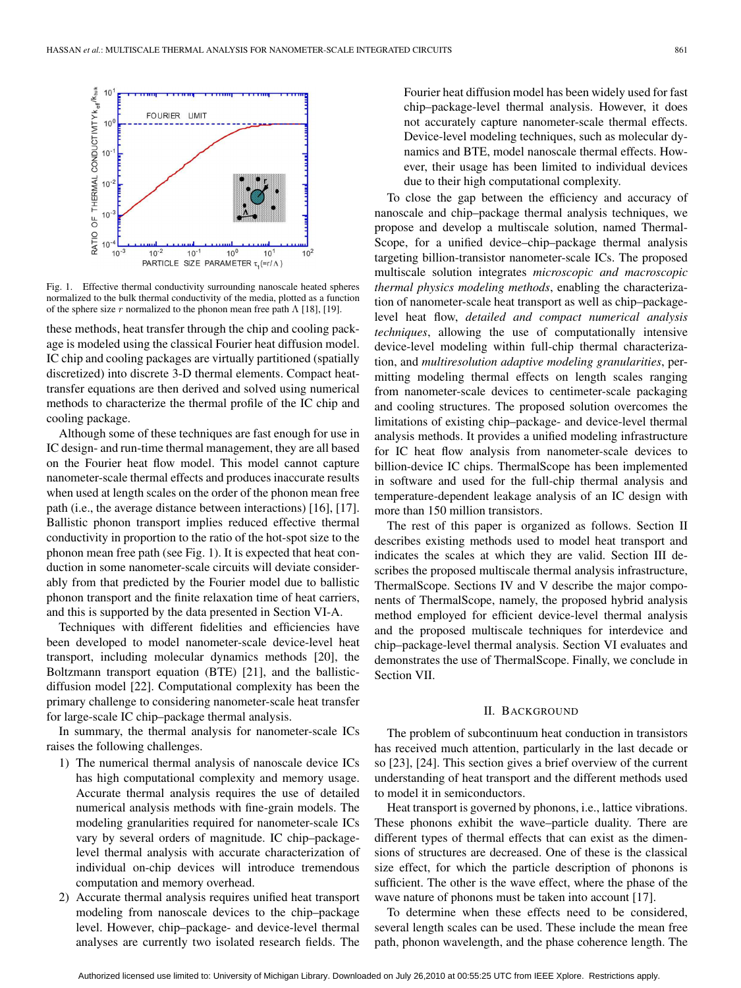

Fig. 1. Effective thermal conductivity surrounding nanoscale heated spheres normalized to the bulk thermal conductivity of the media, plotted as a function of the sphere size r normalized to the phonon mean free path  $\Lambda$  [18], [19].

these methods, heat transfer through the chip and cooling package is modeled using the classical Fourier heat diffusion model. IC chip and cooling packages are virtually partitioned (spatially discretized) into discrete 3-D thermal elements. Compact heattransfer equations are then derived and solved using numerical methods to characterize the thermal profile of the IC chip and cooling package.

Although some of these techniques are fast enough for use in IC design- and run-time thermal management, they are all based on the Fourier heat flow model. This model cannot capture nanometer-scale thermal effects and produces inaccurate results when used at length scales on the order of the phonon mean free path (i.e., the average distance between interactions) [16], [17]. Ballistic phonon transport implies reduced effective thermal conductivity in proportion to the ratio of the hot-spot size to the phonon mean free path (see Fig. 1). It is expected that heat conduction in some nanometer-scale circuits will deviate considerably from that predicted by the Fourier model due to ballistic phonon transport and the finite relaxation time of heat carriers, and this is supported by the data presented in Section VI-A.

Techniques with different fidelities and efficiencies have been developed to model nanometer-scale device-level heat transport, including molecular dynamics methods [20], the Boltzmann transport equation (BTE) [21], and the ballisticdiffusion model [22]. Computational complexity has been the primary challenge to considering nanometer-scale heat transfer for large-scale IC chip–package thermal analysis.

In summary, the thermal analysis for nanometer-scale ICs raises the following challenges.

- 1) The numerical thermal analysis of nanoscale device ICs has high computational complexity and memory usage. Accurate thermal analysis requires the use of detailed numerical analysis methods with fine-grain models. The modeling granularities required for nanometer-scale ICs vary by several orders of magnitude. IC chip–packagelevel thermal analysis with accurate characterization of individual on-chip devices will introduce tremendous computation and memory overhead.
- 2) Accurate thermal analysis requires unified heat transport modeling from nanoscale devices to the chip–package level. However, chip–package- and device-level thermal analyses are currently two isolated research fields. The

Fourier heat diffusion model has been widely used for fast chip–package-level thermal analysis. However, it does not accurately capture nanometer-scale thermal effects. Device-level modeling techniques, such as molecular dynamics and BTE, model nanoscale thermal effects. However, their usage has been limited to individual devices due to their high computational complexity.

To close the gap between the efficiency and accuracy of nanoscale and chip–package thermal analysis techniques, we propose and develop a multiscale solution, named Thermal-Scope, for a unified device–chip–package thermal analysis targeting billion-transistor nanometer-scale ICs. The proposed multiscale solution integrates *microscopic and macroscopic thermal physics modeling methods*, enabling the characterization of nanometer-scale heat transport as well as chip–packagelevel heat flow, *detailed and compact numerical analysis techniques*, allowing the use of computationally intensive device-level modeling within full-chip thermal characterization, and *multiresolution adaptive modeling granularities*, permitting modeling thermal effects on length scales ranging from nanometer-scale devices to centimeter-scale packaging and cooling structures. The proposed solution overcomes the limitations of existing chip–package- and device-level thermal analysis methods. It provides a unified modeling infrastructure for IC heat flow analysis from nanometer-scale devices to billion-device IC chips. ThermalScope has been implemented in software and used for the full-chip thermal analysis and temperature-dependent leakage analysis of an IC design with more than 150 million transistors.

The rest of this paper is organized as follows. Section II describes existing methods used to model heat transport and indicates the scales at which they are valid. Section III describes the proposed multiscale thermal analysis infrastructure, ThermalScope. Sections IV and V describe the major components of ThermalScope, namely, the proposed hybrid analysis method employed for efficient device-level thermal analysis and the proposed multiscale techniques for interdevice and chip–package-level thermal analysis. Section VI evaluates and demonstrates the use of ThermalScope. Finally, we conclude in Section VII.

#### II. BACKGROUND

The problem of subcontinuum heat conduction in transistors has received much attention, particularly in the last decade or so [23], [24]. This section gives a brief overview of the current understanding of heat transport and the different methods used to model it in semiconductors.

Heat transport is governed by phonons, i.e., lattice vibrations. These phonons exhibit the wave–particle duality. There are different types of thermal effects that can exist as the dimensions of structures are decreased. One of these is the classical size effect, for which the particle description of phonons is sufficient. The other is the wave effect, where the phase of the wave nature of phonons must be taken into account [17].

To determine when these effects need to be considered, several length scales can be used. These include the mean free path, phonon wavelength, and the phase coherence length. The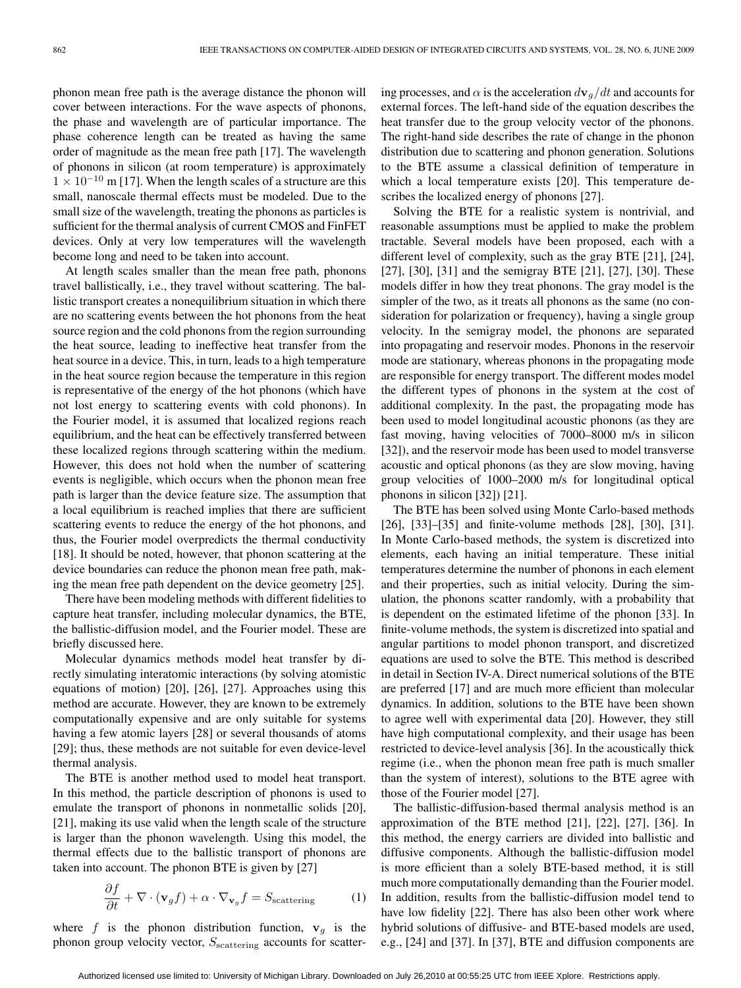phonon mean free path is the average distance the phonon will cover between interactions. For the wave aspects of phonons, the phase and wavelength are of particular importance. The phase coherence length can be treated as having the same order of magnitude as the mean free path [17]. The wavelength of phonons in silicon (at room temperature) is approximately  $1 \times 10^{-10}$  m [17]. When the length scales of a structure are this small, nanoscale thermal effects must be modeled. Due to the small size of the wavelength, treating the phonons as particles is sufficient for the thermal analysis of current CMOS and FinFET devices. Only at very low temperatures will the wavelength become long and need to be taken into account.

At length scales smaller than the mean free path, phonons travel ballistically, i.e., they travel without scattering. The ballistic transport creates a nonequilibrium situation in which there are no scattering events between the hot phonons from the heat source region and the cold phonons from the region surrounding the heat source, leading to ineffective heat transfer from the heat source in a device. This, in turn, leads to a high temperature in the heat source region because the temperature in this region is representative of the energy of the hot phonons (which have not lost energy to scattering events with cold phonons). In the Fourier model, it is assumed that localized regions reach equilibrium, and the heat can be effectively transferred between these localized regions through scattering within the medium. However, this does not hold when the number of scattering events is negligible, which occurs when the phonon mean free path is larger than the device feature size. The assumption that a local equilibrium is reached implies that there are sufficient scattering events to reduce the energy of the hot phonons, and thus, the Fourier model overpredicts the thermal conductivity [18]. It should be noted, however, that phonon scattering at the device boundaries can reduce the phonon mean free path, making the mean free path dependent on the device geometry [25].

There have been modeling methods with different fidelities to capture heat transfer, including molecular dynamics, the BTE, the ballistic-diffusion model, and the Fourier model. These are briefly discussed here.

Molecular dynamics methods model heat transfer by directly simulating interatomic interactions (by solving atomistic equations of motion) [20], [26], [27]. Approaches using this method are accurate. However, they are known to be extremely computationally expensive and are only suitable for systems having a few atomic layers [28] or several thousands of atoms [29]; thus, these methods are not suitable for even device-level thermal analysis.

The BTE is another method used to model heat transport. In this method, the particle description of phonons is used to emulate the transport of phonons in nonmetallic solids [20], [21], making its use valid when the length scale of the structure is larger than the phonon wavelength. Using this model, the thermal effects due to the ballistic transport of phonons are taken into account. The phonon BTE is given by [27]

$$
\frac{\partial f}{\partial t} + \nabla \cdot (\mathbf{v}_g f) + \alpha \cdot \nabla_{\mathbf{v}_g} f = S_{\text{scattering}} \tag{1}
$$

where f is the phonon distribution function,  $v_q$  is the phonon group velocity vector,  $S_{\text{scattering}}$  accounts for scattering processes, and  $\alpha$  is the acceleration  $d\mathbf{v}_q/dt$  and accounts for external forces. The left-hand side of the equation describes the heat transfer due to the group velocity vector of the phonons. The right-hand side describes the rate of change in the phonon distribution due to scattering and phonon generation. Solutions to the BTE assume a classical definition of temperature in which a local temperature exists [20]. This temperature describes the localized energy of phonons [27].

Solving the BTE for a realistic system is nontrivial, and reasonable assumptions must be applied to make the problem tractable. Several models have been proposed, each with a different level of complexity, such as the gray BTE [21], [24], [27], [30], [31] and the semigray BTE [21], [27], [30]. These models differ in how they treat phonons. The gray model is the simpler of the two, as it treats all phonons as the same (no consideration for polarization or frequency), having a single group velocity. In the semigray model, the phonons are separated into propagating and reservoir modes. Phonons in the reservoir mode are stationary, whereas phonons in the propagating mode are responsible for energy transport. The different modes model the different types of phonons in the system at the cost of additional complexity. In the past, the propagating mode has been used to model longitudinal acoustic phonons (as they are fast moving, having velocities of 7000–8000 m/s in silicon [32]), and the reservoir mode has been used to model transverse acoustic and optical phonons (as they are slow moving, having group velocities of 1000–2000 m/s for longitudinal optical phonons in silicon [32]) [21].

The BTE has been solved using Monte Carlo-based methods [26], [33]–[35] and finite-volume methods [28], [30], [31]. In Monte Carlo-based methods, the system is discretized into elements, each having an initial temperature. These initial temperatures determine the number of phonons in each element and their properties, such as initial velocity. During the simulation, the phonons scatter randomly, with a probability that is dependent on the estimated lifetime of the phonon [33]. In finite-volume methods, the system is discretized into spatial and angular partitions to model phonon transport, and discretized equations are used to solve the BTE. This method is described in detail in Section IV-A. Direct numerical solutions of the BTE are preferred [17] and are much more efficient than molecular dynamics. In addition, solutions to the BTE have been shown to agree well with experimental data [20]. However, they still have high computational complexity, and their usage has been restricted to device-level analysis [36]. In the acoustically thick regime (i.e., when the phonon mean free path is much smaller than the system of interest), solutions to the BTE agree with those of the Fourier model [27].

The ballistic-diffusion-based thermal analysis method is an approximation of the BTE method [21], [22], [27], [36]. In this method, the energy carriers are divided into ballistic and diffusive components. Although the ballistic-diffusion model is more efficient than a solely BTE-based method, it is still much more computationally demanding than the Fourier model. In addition, results from the ballistic-diffusion model tend to have low fidelity [22]. There has also been other work where hybrid solutions of diffusive- and BTE-based models are used, e.g., [24] and [37]. In [37], BTE and diffusion components are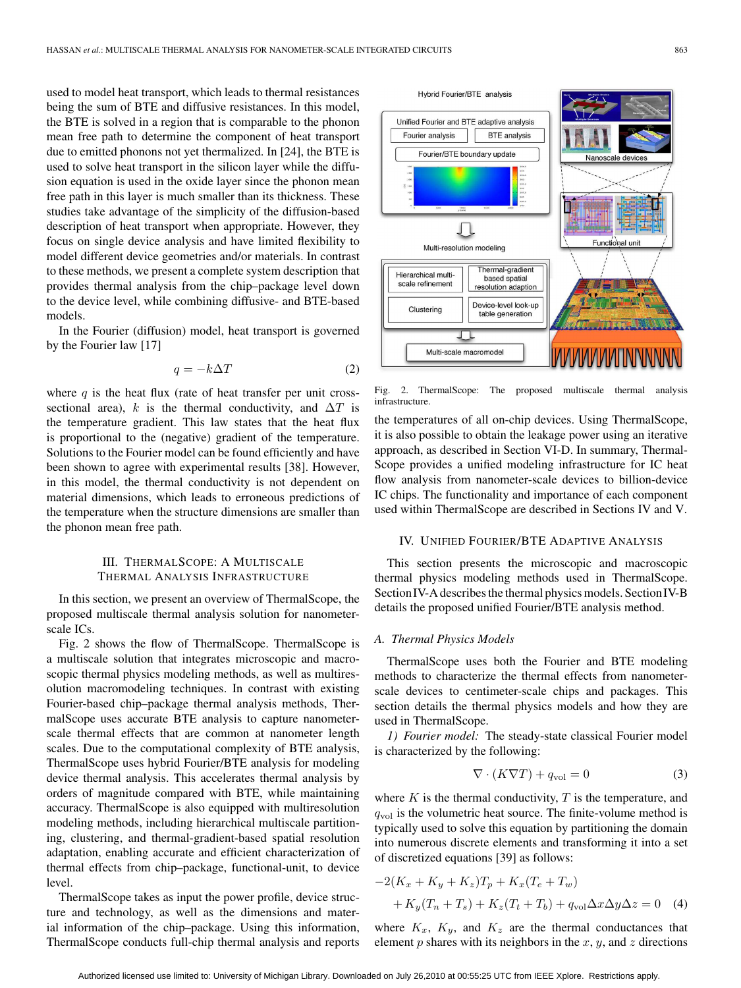used to model heat transport, which leads to thermal resistances being the sum of BTE and diffusive resistances. In this model, the BTE is solved in a region that is comparable to the phonon mean free path to determine the component of heat transport due to emitted phonons not yet thermalized. In [24], the BTE is used to solve heat transport in the silicon layer while the diffusion equation is used in the oxide layer since the phonon mean free path in this layer is much smaller than its thickness. These studies take advantage of the simplicity of the diffusion-based description of heat transport when appropriate. However, they focus on single device analysis and have limited flexibility to model different device geometries and/or materials. In contrast to these methods, we present a complete system description that provides thermal analysis from the chip–package level down to the device level, while combining diffusive- and BTE-based models.

In the Fourier (diffusion) model, heat transport is governed by the Fourier law [17]

$$
q = -k\Delta T \tag{2}
$$

where  $q$  is the heat flux (rate of heat transfer per unit crosssectional area), k is the thermal conductivity, and  $\Delta T$  is the temperature gradient. This law states that the heat flux is proportional to the (negative) gradient of the temperature. Solutions to the Fourier model can be found efficiently and have been shown to agree with experimental results [38]. However, in this model, the thermal conductivity is not dependent on material dimensions, which leads to erroneous predictions of the temperature when the structure dimensions are smaller than the phonon mean free path.

## III. THERMALSCOPE: A MULTISCALE THERMAL ANALYSIS INFRASTRUCTURE

In this section, we present an overview of ThermalScope, the proposed multiscale thermal analysis solution for nanometerscale ICs.

Fig. 2 shows the flow of ThermalScope. ThermalScope is a multiscale solution that integrates microscopic and macroscopic thermal physics modeling methods, as well as multiresolution macromodeling techniques. In contrast with existing Fourier-based chip–package thermal analysis methods, ThermalScope uses accurate BTE analysis to capture nanometerscale thermal effects that are common at nanometer length scales. Due to the computational complexity of BTE analysis, ThermalScope uses hybrid Fourier/BTE analysis for modeling device thermal analysis. This accelerates thermal analysis by orders of magnitude compared with BTE, while maintaining accuracy. ThermalScope is also equipped with multiresolution modeling methods, including hierarchical multiscale partitioning, clustering, and thermal-gradient-based spatial resolution adaptation, enabling accurate and efficient characterization of thermal effects from chip–package, functional-unit, to device level.

ThermalScope takes as input the power profile, device structure and technology, as well as the dimensions and material information of the chip–package. Using this information, ThermalScope conducts full-chip thermal analysis and reports



Fig. 2. ThermalScope: The proposed multiscale thermal analysis infrastructure.

the temperatures of all on-chip devices. Using ThermalScope, it is also possible to obtain the leakage power using an iterative approach, as described in Section VI-D. In summary, Thermal-Scope provides a unified modeling infrastructure for IC heat flow analysis from nanometer-scale devices to billion-device IC chips. The functionality and importance of each component used within ThermalScope are described in Sections IV and V.

## IV. UNIFIED FOURIER/BTE ADAPTIVE ANALYSIS

This section presents the microscopic and macroscopic thermal physics modeling methods used in ThermalScope. SectionIV-A describes the thermal physics models. SectionIV-B details the proposed unified Fourier/BTE analysis method.

## *A. Thermal Physics Models*

ThermalScope uses both the Fourier and BTE modeling methods to characterize the thermal effects from nanometerscale devices to centimeter-scale chips and packages. This section details the thermal physics models and how they are used in ThermalScope.

*1) Fourier model:* The steady-state classical Fourier model is characterized by the following:

$$
\nabla \cdot (K\nabla T) + q_{\text{vol}} = 0 \tag{3}
$$

where  $K$  is the thermal conductivity,  $T$  is the temperature, and  $q_{\text{vol}}$  is the volumetric heat source. The finite-volume method is typically used to solve this equation by partitioning the domain into numerous discrete elements and transforming it into a set of discretized equations [39] as follows:

$$
-2(K_x + K_y + K_z)T_p + K_x(T_e + T_w)
$$
  
+  $K_y(T_n + T_s) + K_z(T_t + T_b) + q_{\text{vol}}\Delta x \Delta y \Delta z = 0$  (4)

where  $K_x$ ,  $K_y$ , and  $K_z$  are the thermal conductances that element  $p$  shares with its neighbors in the  $x$ ,  $y$ , and  $z$  directions

Authorized licensed use limited to: University of Michigan Library. Downloaded on July 26,2010 at 00:55:25 UTC from IEEE Xplore. Restrictions apply.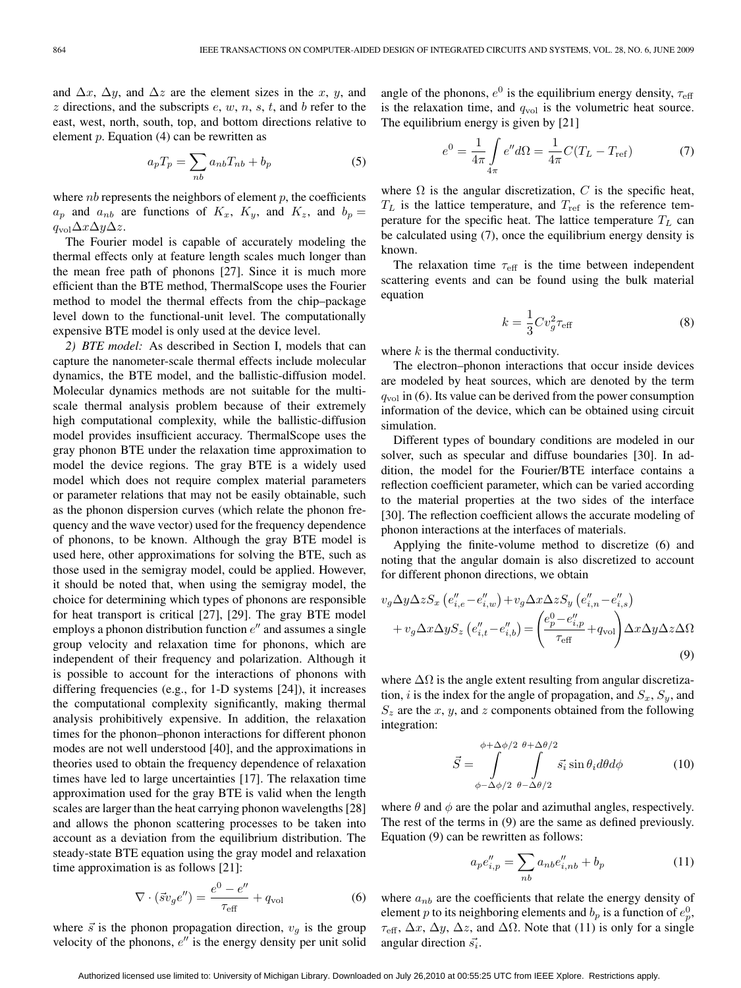and  $\Delta x$ ,  $\Delta y$ , and  $\Delta z$  are the element sizes in the x, y, and  $z$  directions, and the subscripts  $e, w, n, s, t$ , and  $b$  refer to the east, west, north, south, top, and bottom directions relative to element  $p$ . Equation (4) can be rewritten as

$$
a_p T_p = \sum_{nb} a_{nb} T_{nb} + b_p \tag{5}
$$

where  $nb$  represents the neighbors of element  $p$ , the coefficients  $a_p$  and  $a_{nb}$  are functions of  $K_x$ ,  $K_y$ , and  $K_z$ , and  $b_p =$  $q_{\text{vol}}\Delta x\Delta y\Delta z$ .

The Fourier model is capable of accurately modeling the thermal effects only at feature length scales much longer than the mean free path of phonons [27]. Since it is much more efficient than the BTE method, ThermalScope uses the Fourier method to model the thermal effects from the chip–package level down to the functional-unit level. The computationally expensive BTE model is only used at the device level.

*2) BTE model:* As described in Section I, models that can capture the nanometer-scale thermal effects include molecular dynamics, the BTE model, and the ballistic-diffusion model. Molecular dynamics methods are not suitable for the multiscale thermal analysis problem because of their extremely high computational complexity, while the ballistic-diffusion model provides insufficient accuracy. ThermalScope uses the gray phonon BTE under the relaxation time approximation to model the device regions. The gray BTE is a widely used model which does not require complex material parameters or parameter relations that may not be easily obtainable, such as the phonon dispersion curves (which relate the phonon frequency and the wave vector) used for the frequency dependence of phonons, to be known. Although the gray BTE model is used here, other approximations for solving the BTE, such as those used in the semigray model, could be applied. However, it should be noted that, when using the semigray model, the choice for determining which types of phonons are responsible for heat transport is critical [27], [29]. The gray BTE model employs a phonon distribution function  $e^{\prime\prime}$  and assumes a single group velocity and relaxation time for phonons, which are independent of their frequency and polarization. Although it is possible to account for the interactions of phonons with differing frequencies (e.g., for 1-D systems [24]), it increases the computational complexity significantly, making thermal analysis prohibitively expensive. In addition, the relaxation times for the phonon–phonon interactions for different phonon modes are not well understood [40], and the approximations in theories used to obtain the frequency dependence of relaxation times have led to large uncertainties [17]. The relaxation time approximation used for the gray BTE is valid when the length scales are larger than the heat carrying phonon wavelengths [28] and allows the phonon scattering processes to be taken into account as a deviation from the equilibrium distribution. The steady-state BTE equation using the gray model and relaxation time approximation is as follows [21]:

$$
\nabla \cdot (\vec{s}v_g e'') = \frac{e^0 - e''}{\tau_{\text{eff}}} + q_{\text{vol}} \tag{6}
$$

where  $\vec{s}$  is the phonon propagation direction,  $v_a$  is the group velocity of the phonons,  $e''$  is the energy density per unit solid

angle of the phonons,  $e^0$  is the equilibrium energy density,  $\tau_{\text{eff}}$ is the relaxation time, and  $q_{\text{vol}}$  is the volumetric heat source. The equilibrium energy is given by [21]

$$
e^{0} = \frac{1}{4\pi} \int_{4\pi} e^{u} d\Omega = \frac{1}{4\pi} C (T_{L} - T_{ref})
$$
 (7)

where  $\Omega$  is the angular discretization, C is the specific heat,  $T_L$  is the lattice temperature, and  $T_{ref}$  is the reference temperature for the specific heat. The lattice temperature  $T_L$  can be calculated using (7), once the equilibrium energy density is known.

The relaxation time  $\tau_{\text{eff}}$  is the time between independent scattering events and can be found using the bulk material equation

$$
k = \frac{1}{3} C v_g^2 \tau_{\text{eff}} \tag{8}
$$

where  $k$  is the thermal conductivity.

The electron–phonon interactions that occur inside devices are modeled by heat sources, which are denoted by the term  $q_{\text{vol}}$  in (6). Its value can be derived from the power consumption information of the device, which can be obtained using circuit simulation.

Different types of boundary conditions are modeled in our solver, such as specular and diffuse boundaries [30]. In addition, the model for the Fourier/BTE interface contains a reflection coefficient parameter, which can be varied according to the material properties at the two sides of the interface [30]. The reflection coefficient allows the accurate modeling of phonon interactions at the interfaces of materials.

Applying the finite-volume method to discretize (6) and noting that the angular domain is also discretized to account for different phonon directions, we obtain

$$
v_g \Delta y \Delta z S_x \left( e''_{i,e} - e''_{i,w} \right) + v_g \Delta x \Delta z S_y \left( e''_{i,n} - e''_{i,s} \right)
$$

$$
+ v_g \Delta x \Delta y S_z \left( e''_{i,t} - e''_{i,b} \right) = \left( \frac{e_p^0 - e''_{i,p}}{\tau_{\text{eff}}} + q_{\text{vol}} \right) \Delta x \Delta y \Delta z \Delta \Omega
$$
(9)

where  $\Delta\Omega$  is the angle extent resulting from angular discretization, i is the index for the angle of propagation, and  $S_x$ ,  $S_y$ , and  $S_z$  are the x, y, and z components obtained from the following integration:

$$
\vec{S} = \int_{\phi - \Delta\phi/2}^{\phi + \Delta\phi/2} \int_{\theta - \Delta\theta/2}^{\theta + \Delta\theta/2} \vec{s_i} \sin \theta_i d\theta d\phi
$$
 (10)

where  $\theta$  and  $\phi$  are the polar and azimuthal angles, respectively. The rest of the terms in (9) are the same as defined previously. Equation (9) can be rewritten as follows:

$$
a_p e''_{i,p} = \sum_{nb} a_{nb} e''_{i,nb} + b_p \tag{11}
$$

where  $a_{nb}$  are the coefficients that relate the energy density of element p to its neighboring elements and  $b_p$  is a function of  $e_p^0$ ,  $\tau_{\text{eff}}$ ,  $\Delta x$ ,  $\Delta y$ ,  $\Delta z$ , and  $\Delta \Omega$ . Note that (11) is only for a single angular direction  $\vec{s_i}$ .

Authorized licensed use limited to: University of Michigan Library. Downloaded on July 26,2010 at 00:55:25 UTC from IEEE Xplore. Restrictions apply.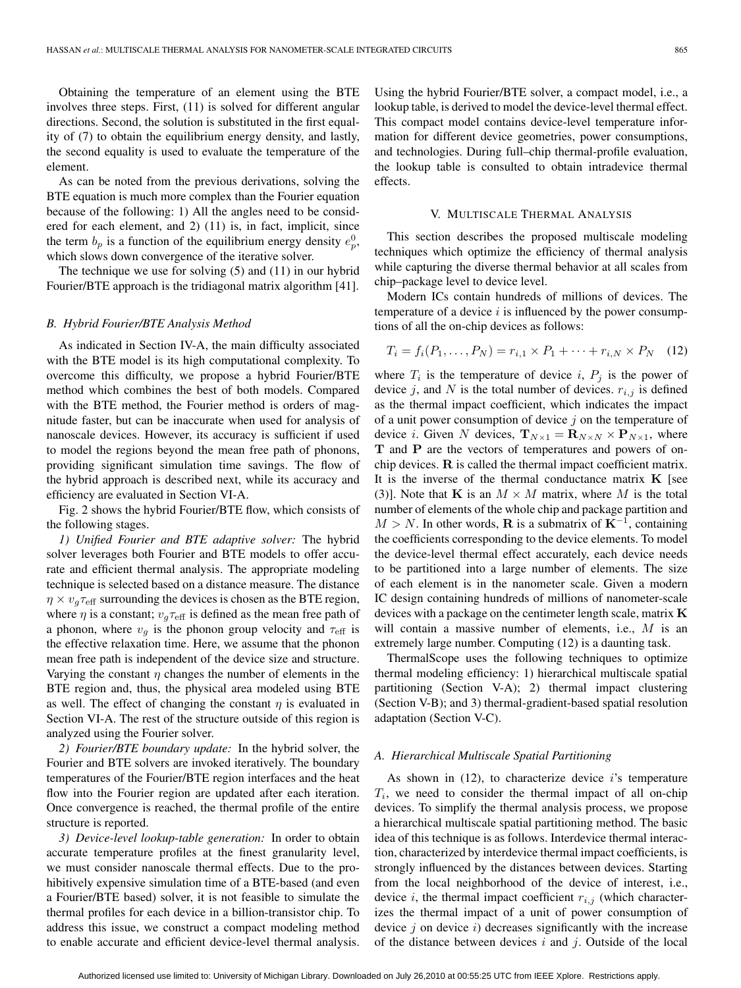Obtaining the temperature of an element using the BTE involves three steps. First, (11) is solved for different angular directions. Second, the solution is substituted in the first equality of (7) to obtain the equilibrium energy density, and lastly, the second equality is used to evaluate the temperature of the element.

As can be noted from the previous derivations, solving the BTE equation is much more complex than the Fourier equation because of the following: 1) All the angles need to be considered for each element, and 2) (11) is, in fact, implicit, since the term  $b_p$  is a function of the equilibrium energy density  $e_p^0$ , which slows down convergence of the iterative solver.

The technique we use for solving (5) and (11) in our hybrid Fourier/BTE approach is the tridiagonal matrix algorithm [41].

#### *B. Hybrid Fourier/BTE Analysis Method*

As indicated in Section IV-A, the main difficulty associated with the BTE model is its high computational complexity. To overcome this difficulty, we propose a hybrid Fourier/BTE method which combines the best of both models. Compared with the BTE method, the Fourier method is orders of magnitude faster, but can be inaccurate when used for analysis of nanoscale devices. However, its accuracy is sufficient if used to model the regions beyond the mean free path of phonons, providing significant simulation time savings. The flow of the hybrid approach is described next, while its accuracy and efficiency are evaluated in Section VI-A.

Fig. 2 shows the hybrid Fourier/BTE flow, which consists of the following stages.

*1) Unified Fourier and BTE adaptive solver:* The hybrid solver leverages both Fourier and BTE models to offer accurate and efficient thermal analysis. The appropriate modeling technique is selected based on a distance measure. The distance  $\eta \times v_q \tau_{\text{eff}}$  surrounding the devices is chosen as the BTE region, where  $\eta$  is a constant;  $v_g \tau_{\text{eff}}$  is defined as the mean free path of a phonon, where  $v_g$  is the phonon group velocity and  $\tau_{\text{eff}}$  is the effective relaxation time. Here, we assume that the phonon mean free path is independent of the device size and structure. Varying the constant  $\eta$  changes the number of elements in the BTE region and, thus, the physical area modeled using BTE as well. The effect of changing the constant  $\eta$  is evaluated in Section VI-A. The rest of the structure outside of this region is analyzed using the Fourier solver.

*2) Fourier/BTE boundary update:* In the hybrid solver, the Fourier and BTE solvers are invoked iteratively. The boundary temperatures of the Fourier/BTE region interfaces and the heat flow into the Fourier region are updated after each iteration. Once convergence is reached, the thermal profile of the entire structure is reported.

*3) Device-level lookup-table generation:* In order to obtain accurate temperature profiles at the finest granularity level, we must consider nanoscale thermal effects. Due to the prohibitively expensive simulation time of a BTE-based (and even a Fourier/BTE based) solver, it is not feasible to simulate the thermal profiles for each device in a billion-transistor chip. To address this issue, we construct a compact modeling method to enable accurate and efficient device-level thermal analysis.

Using the hybrid Fourier/BTE solver, a compact model, i.e., a lookup table, is derived to model the device-level thermal effect. This compact model contains device-level temperature information for different device geometries, power consumptions, and technologies. During full–chip thermal-profile evaluation, the lookup table is consulted to obtain intradevice thermal effects.

#### V. MULTISCALE THERMAL ANALYSIS

This section describes the proposed multiscale modeling techniques which optimize the efficiency of thermal analysis while capturing the diverse thermal behavior at all scales from chip–package level to device level.

Modern ICs contain hundreds of millions of devices. The temperature of a device  $i$  is influenced by the power consumptions of all the on-chip devices as follows:

$$
T_i = f_i(P_1, \dots, P_N) = r_{i,1} \times P_1 + \dots + r_{i,N} \times P_N \quad (12)
$$

where  $T_i$  is the temperature of device i,  $P_j$  is the power of device j, and N is the total number of devices.  $r_{i,j}$  is defined as the thermal impact coefficient, which indicates the impact of a unit power consumption of device  $j$  on the temperature of device *i*. Given N devices,  $\mathbf{T}_{N\times1} = \mathbf{R}_{N\times N} \times \mathbf{P}_{N\times1}$ , where T and P are the vectors of temperatures and powers of onchip devices. R is called the thermal impact coefficient matrix. It is the inverse of the thermal conductance matrix  $K$  [see (3)]. Note that **K** is an  $M \times M$  matrix, where M is the total number of elements of the whole chip and package partition and  $M > N$ . In other words, R is a submatrix of  $K^{-1}$ , containing the coefficients corresponding to the device elements. To model the device-level thermal effect accurately, each device needs to be partitioned into a large number of elements. The size of each element is in the nanometer scale. Given a modern IC design containing hundreds of millions of nanometer-scale devices with a package on the centimeter length scale, matrix  $\bf{K}$ will contain a massive number of elements, i.e., M is an extremely large number. Computing (12) is a daunting task.

ThermalScope uses the following techniques to optimize thermal modeling efficiency: 1) hierarchical multiscale spatial partitioning (Section V-A); 2) thermal impact clustering (Section V-B); and 3) thermal-gradient-based spatial resolution adaptation (Section V-C).

#### *A. Hierarchical Multiscale Spatial Partitioning*

As shown in  $(12)$ , to characterize device *i*'s temperature  $T_i$ , we need to consider the thermal impact of all on-chip devices. To simplify the thermal analysis process, we propose a hierarchical multiscale spatial partitioning method. The basic idea of this technique is as follows. Interdevice thermal interaction, characterized by interdevice thermal impact coefficients, is strongly influenced by the distances between devices. Starting from the local neighborhood of the device of interest, i.e., device i, the thermal impact coefficient  $r_{i,j}$  (which characterizes the thermal impact of a unit of power consumption of device  $j$  on device  $i$ ) decreases significantly with the increase of the distance between devices  $i$  and  $j$ . Outside of the local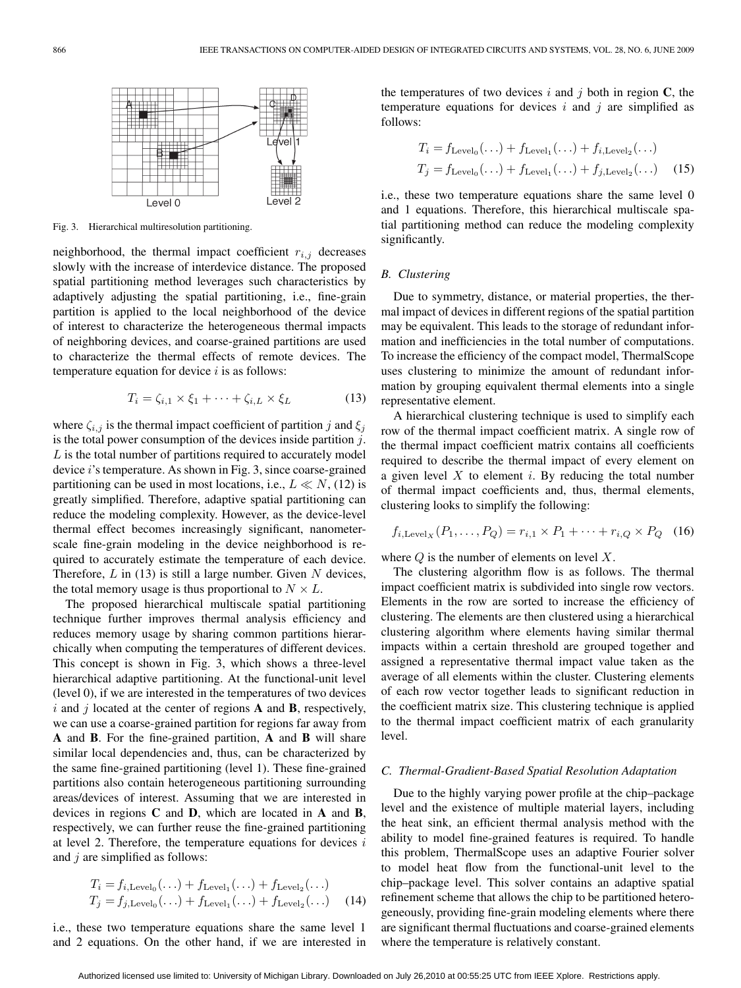

Fig. 3. Hierarchical multiresolution partitioning.

neighborhood, the thermal impact coefficient  $r_{i,j}$  decreases slowly with the increase of interdevice distance. The proposed spatial partitioning method leverages such characteristics by adaptively adjusting the spatial partitioning, i.e., fine-grain partition is applied to the local neighborhood of the device of interest to characterize the heterogeneous thermal impacts of neighboring devices, and coarse-grained partitions are used to characterize the thermal effects of remote devices. The temperature equation for device  $i$  is as follows:

$$
T_i = \zeta_{i,1} \times \xi_1 + \dots + \zeta_{i,L} \times \xi_L \tag{13}
$$

where  $\zeta_{i,j}$  is the thermal impact coefficient of partition j and  $\xi_j$ is the total power consumption of the devices inside partition  $j$ . L is the total number of partitions required to accurately model device i's temperature. As shown in Fig. 3, since coarse-grained partitioning can be used in most locations, i.e.,  $L \ll N$ , (12) is greatly simplified. Therefore, adaptive spatial partitioning can reduce the modeling complexity. However, as the device-level thermal effect becomes increasingly significant, nanometerscale fine-grain modeling in the device neighborhood is required to accurately estimate the temperature of each device. Therefore,  $L$  in (13) is still a large number. Given  $N$  devices, the total memory usage is thus proportional to  $N \times L$ .

The proposed hierarchical multiscale spatial partitioning technique further improves thermal analysis efficiency and reduces memory usage by sharing common partitions hierarchically when computing the temperatures of different devices. This concept is shown in Fig. 3, which shows a three-level hierarchical adaptive partitioning. At the functional-unit level (level 0), if we are interested in the temperatures of two devices  $i$  and  $j$  located at the center of regions **A** and **B**, respectively, we can use a coarse-grained partition for regions far away from **A** and **B**. For the fine-grained partition, **A** and **B** will share similar local dependencies and, thus, can be characterized by the same fine-grained partitioning (level 1). These fine-grained partitions also contain heterogeneous partitioning surrounding areas/devices of interest. Assuming that we are interested in devices in regions **C** and **D**, which are located in **A** and **B**, respectively, we can further reuse the fine-grained partitioning at level 2. Therefore, the temperature equations for devices  $i$ and  $j$  are simplified as follows:

$$
T_i = f_{i,\text{Level}_0}(\dots) + f_{\text{Level}_1}(\dots) + f_{\text{Level}_2}(\dots)
$$
  
\n
$$
T_j = f_{j,\text{Level}_0}(\dots) + f_{\text{Level}_1}(\dots) + f_{\text{Level}_2}(\dots)
$$
 (14)

i.e., these two temperature equations share the same level 1 and 2 equations. On the other hand, if we are interested in the temperatures of two devices i and j both in region  $C$ , the temperature equations for devices  $i$  and  $j$  are simplified as follows:

$$
T_i = f_{\text{Level}_0}(\dots) + f_{\text{Level}_1}(\dots) + f_{i,\text{Level}_2}(\dots)
$$
  

$$
T_j = f_{\text{Level}_0}(\dots) + f_{\text{Level}_1}(\dots) + f_{j,\text{Level}_2}(\dots)
$$
 (15)

i.e., these two temperature equations share the same level 0 and 1 equations. Therefore, this hierarchical multiscale spatial partitioning method can reduce the modeling complexity significantly.

## *B. Clustering*

Due to symmetry, distance, or material properties, the thermal impact of devices in different regions of the spatial partition may be equivalent. This leads to the storage of redundant information and inefficiencies in the total number of computations. To increase the efficiency of the compact model, ThermalScope uses clustering to minimize the amount of redundant information by grouping equivalent thermal elements into a single representative element.

A hierarchical clustering technique is used to simplify each row of the thermal impact coefficient matrix. A single row of the thermal impact coefficient matrix contains all coefficients required to describe the thermal impact of every element on a given level  $X$  to element  $i$ . By reducing the total number of thermal impact coefficients and, thus, thermal elements, clustering looks to simplify the following:

$$
f_{i,\text{Level}_X}(P_1, ..., P_Q) = r_{i,1} \times P_1 + \dots + r_{i,Q} \times P_Q \quad (16)
$$

where  $Q$  is the number of elements on level  $X$ .

The clustering algorithm flow is as follows. The thermal impact coefficient matrix is subdivided into single row vectors. Elements in the row are sorted to increase the efficiency of clustering. The elements are then clustered using a hierarchical clustering algorithm where elements having similar thermal impacts within a certain threshold are grouped together and assigned a representative thermal impact value taken as the average of all elements within the cluster. Clustering elements of each row vector together leads to significant reduction in the coefficient matrix size. This clustering technique is applied to the thermal impact coefficient matrix of each granularity level.

#### *C. Thermal-Gradient-Based Spatial Resolution Adaptation*

Due to the highly varying power profile at the chip–package level and the existence of multiple material layers, including the heat sink, an efficient thermal analysis method with the ability to model fine-grained features is required. To handle this problem, ThermalScope uses an adaptive Fourier solver to model heat flow from the functional-unit level to the chip–package level. This solver contains an adaptive spatial refinement scheme that allows the chip to be partitioned heterogeneously, providing fine-grain modeling elements where there are significant thermal fluctuations and coarse-grained elements where the temperature is relatively constant.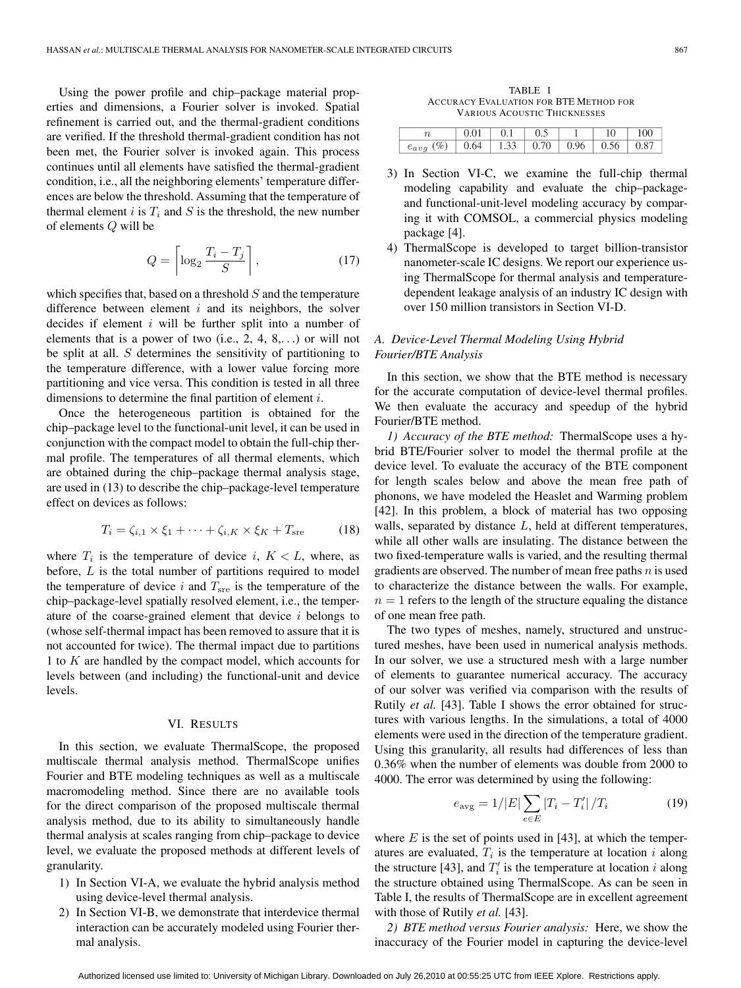Using the power profile and chip–package material properties and dimensions, a Fourier solver is invoked. Spatial refinement is carried out, and the thermal-gradient conditions are verified. If the threshold thermal-gradient condition has not been met, the Fourier solver is invoked again. This process continues until all elements have satisfied the thermal-gradient condition, i.e., all the neighboring elements' temperature differences are below the threshold. Assuming that the temperature of thermal element  $i$  is  $T_i$  and  $S$  is the threshold, the new number of elements Q will be

$$
Q = \left\lceil \log_2 \frac{T_i - T_j}{S} \right\rceil,\tag{17}
$$

which specifies that, based on a threshold  $S$  and the temperature difference between element  $i$  and its neighbors, the solver decides if element  $i$  will be further split into a number of elements that is a power of two  $(i.e., 2, 4, 8, ...)$  or will not be split at all.  $S$  determines the sensitivity of partitioning to the temperature difference, with a lower value forcing more partitioning and vice versa. This condition is tested in all three dimensions to determine the final partition of element  $i$ .

Once the heterogeneous partition is obtained for the chip–package level to the functional-unit level, it can be used in conjunction with the compact model to obtain the full-chip thermal profile. The temperatures of all thermal elements, which are obtained during the chip–package thermal analysis stage, are used in (13) to describe the chip–package-level temperature effect on devices as follows:

$$
T_i = \zeta_{i,1} \times \xi_1 + \dots + \zeta_{i,K} \times \xi_K + T_{\text{sre}} \tag{18}
$$

where  $T_i$  is the temperature of device i,  $K < L$ , where, as before, L is the total number of partitions required to model the temperature of device  $i$  and  $T_{\text{sre}}$  is the temperature of the chip–package-level spatially resolved element, i.e., the temperature of the coarse-grained element that device  $i$  belongs to (whose self-thermal impact has been removed to assure that it is not accounted for twice). The thermal impact due to partitions 1 to K are handled by the compact model, which accounts for levels between (and including) the functional-unit and device levels.

#### VI. RESULTS

In this section, we evaluate ThermalScope, the proposed multiscale thermal analysis method. ThermalScope unifies Fourier and BTE modeling techniques as well as a multiscale macromodeling method. Since there are no available tools for the direct comparison of the proposed multiscale thermal analysis method, due to its ability to simultaneously handle thermal analysis at scales ranging from chip–package to device level, we evaluate the proposed methods at different levels of granularity.

- 1) In Section VI-A, we evaluate the hybrid analysis method using device-level thermal analysis.
- 2) In Section VI-B, we demonstrate that interdevice thermal interaction can be accurately modeled using Fourier thermal analysis.

TABLE I ACCURACY EVALUATION FOR BTE METHOD FOR VARIOUS ACOUSTIC THICKNESSES

| ΟΙ.<br>v<br>vи. | ີ | w | v | v |  |
|-----------------|---|---|---|---|--|

- 3) In Section VI-C, we examine the full-chip thermal modeling capability and evaluate the chip–packageand functional-unit-level modeling accuracy by comparing it with COMSOL, a commercial physics modeling package [4].
- 4) ThermalScope is developed to target billion-transistor nanometer-scale IC designs. We report our experience using ThermalScope for thermal analysis and temperaturedependent leakage analysis of an industry IC design with over 150 million transistors in Section VI-D.

# *A. Device-Level Thermal Modeling Using Hybrid Fourier/BTE Analysis*

In this section, we show that the BTE method is necessary for the accurate computation of device-level thermal profiles. We then evaluate the accuracy and speedup of the hybrid Fourier/BTE method.

*1) Accuracy of the BTE method:* ThermalScope uses a hybrid BTE/Fourier solver to model the thermal profile at the device level. To evaluate the accuracy of the BTE component for length scales below and above the mean free path of phonons, we have modeled the Heaslet and Warming problem [42]. In this problem, a block of material has two opposing walls, separated by distance  $L$ , held at different temperatures, while all other walls are insulating. The distance between the two fixed-temperature walls is varied, and the resulting thermal gradients are observed. The number of mean free paths  $n$  is used to characterize the distance between the walls. For example,  $n = 1$  refers to the length of the structure equaling the distance of one mean free path.

The two types of meshes, namely, structured and unstructured meshes, have been used in numerical analysis methods. In our solver, we use a structured mesh with a large number of elements to guarantee numerical accuracy. The accuracy of our solver was verified via comparison with the results of Rutily *et al.* [43]. Table I shows the error obtained for structures with various lengths. In the simulations, a total of 4000 elements were used in the direction of the temperature gradient. Using this granularity, all results had differences of less than 0.36% when the number of elements was double from 2000 to 4000. The error was determined by using the following:

$$
e_{\text{avg}} = 1/|E| \sum_{e \in E} |T_i - T_i'| / T_i \tag{19}
$$

where  $E$  is the set of points used in [43], at which the temperatures are evaluated,  $T_i$  is the temperature at location i along the structure [43], and  $T_i'$  is the temperature at location i along the structure obtained using ThermalScope. As can be seen in Table I, the results of ThermalScope are in excellent agreement with those of Rutily *et al.* [43].

*2) BTE method versus Fourier analysis:* Here, we show the inaccuracy of the Fourier model in capturing the device-level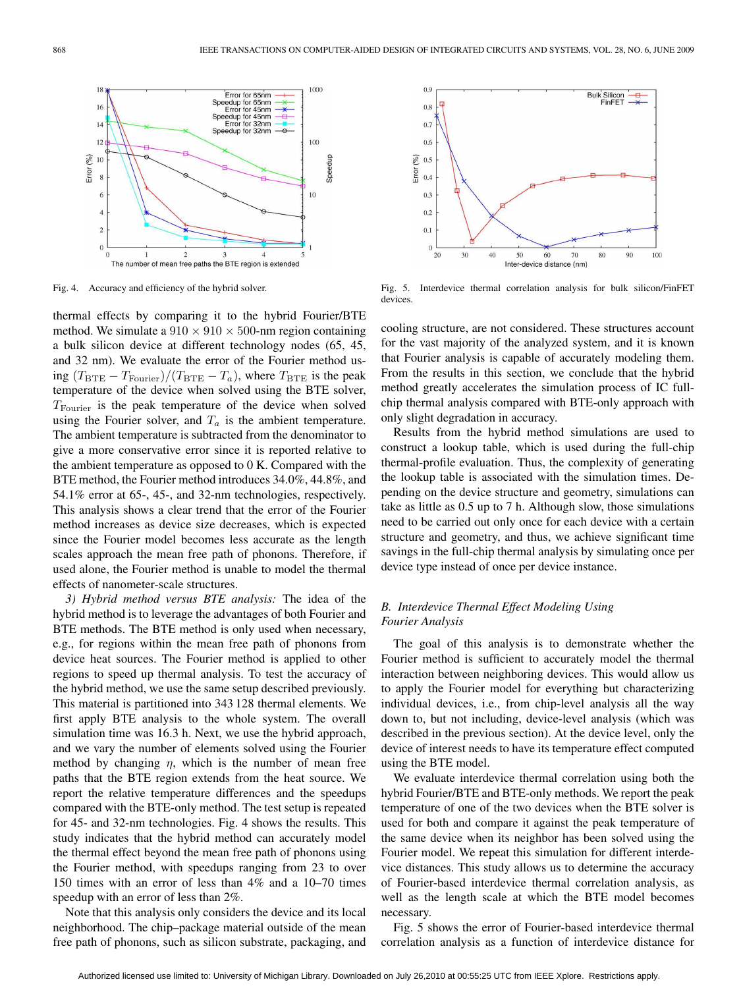

Fig. 4. Accuracy and efficiency of the hybrid solver.

thermal effects by comparing it to the hybrid Fourier/BTE method. We simulate a  $910 \times 910 \times 500$ -nm region containing a bulk silicon device at different technology nodes (65, 45, and 32 nm). We evaluate the error of the Fourier method using  $(T_{\text{BTE}} - T_{\text{Fourier}})/(T_{\text{BTE}} - T_a)$ , where  $T_{\text{BTE}}$  is the peak temperature of the device when solved using the BTE solver,  $T_{\text{Fourier}}$  is the peak temperature of the device when solved using the Fourier solver, and  $T_a$  is the ambient temperature. The ambient temperature is subtracted from the denominator to give a more conservative error since it is reported relative to the ambient temperature as opposed to 0 K. Compared with the BTE method, the Fourier method introduces 34.0%, 44.8%, and 54.1% error at 65-, 45-, and 32-nm technologies, respectively. This analysis shows a clear trend that the error of the Fourier method increases as device size decreases, which is expected since the Fourier model becomes less accurate as the length scales approach the mean free path of phonons. Therefore, if used alone, the Fourier method is unable to model the thermal effects of nanometer-scale structures.

*3) Hybrid method versus BTE analysis:* The idea of the hybrid method is to leverage the advantages of both Fourier and BTE methods. The BTE method is only used when necessary, e.g., for regions within the mean free path of phonons from device heat sources. The Fourier method is applied to other regions to speed up thermal analysis. To test the accuracy of the hybrid method, we use the same setup described previously. This material is partitioned into 343 128 thermal elements. We first apply BTE analysis to the whole system. The overall simulation time was 16.3 h. Next, we use the hybrid approach, and we vary the number of elements solved using the Fourier method by changing  $\eta$ , which is the number of mean free paths that the BTE region extends from the heat source. We report the relative temperature differences and the speedups compared with the BTE-only method. The test setup is repeated for 45- and 32-nm technologies. Fig. 4 shows the results. This study indicates that the hybrid method can accurately model the thermal effect beyond the mean free path of phonons using the Fourier method, with speedups ranging from 23 to over 150 times with an error of less than 4% and a 10–70 times speedup with an error of less than 2%.

Note that this analysis only considers the device and its local neighborhood. The chip–package material outside of the mean free path of phonons, such as silicon substrate, packaging, and



Fig. 5. Interdevice thermal correlation analysis for bulk silicon/FinFET devices.

cooling structure, are not considered. These structures account for the vast majority of the analyzed system, and it is known that Fourier analysis is capable of accurately modeling them. From the results in this section, we conclude that the hybrid method greatly accelerates the simulation process of IC fullchip thermal analysis compared with BTE-only approach with only slight degradation in accuracy.

Results from the hybrid method simulations are used to construct a lookup table, which is used during the full-chip thermal-profile evaluation. Thus, the complexity of generating the lookup table is associated with the simulation times. Depending on the device structure and geometry, simulations can take as little as 0.5 up to 7 h. Although slow, those simulations need to be carried out only once for each device with a certain structure and geometry, and thus, we achieve significant time savings in the full-chip thermal analysis by simulating once per device type instead of once per device instance.

## *B. Interdevice Thermal Effect Modeling Using Fourier Analysis*

The goal of this analysis is to demonstrate whether the Fourier method is sufficient to accurately model the thermal interaction between neighboring devices. This would allow us to apply the Fourier model for everything but characterizing individual devices, i.e., from chip-level analysis all the way down to, but not including, device-level analysis (which was described in the previous section). At the device level, only the device of interest needs to have its temperature effect computed using the BTE model.

We evaluate interdevice thermal correlation using both the hybrid Fourier/BTE and BTE-only methods. We report the peak temperature of one of the two devices when the BTE solver is used for both and compare it against the peak temperature of the same device when its neighbor has been solved using the Fourier model. We repeat this simulation for different interdevice distances. This study allows us to determine the accuracy of Fourier-based interdevice thermal correlation analysis, as well as the length scale at which the BTE model becomes necessary.

Fig. 5 shows the error of Fourier-based interdevice thermal correlation analysis as a function of interdevice distance for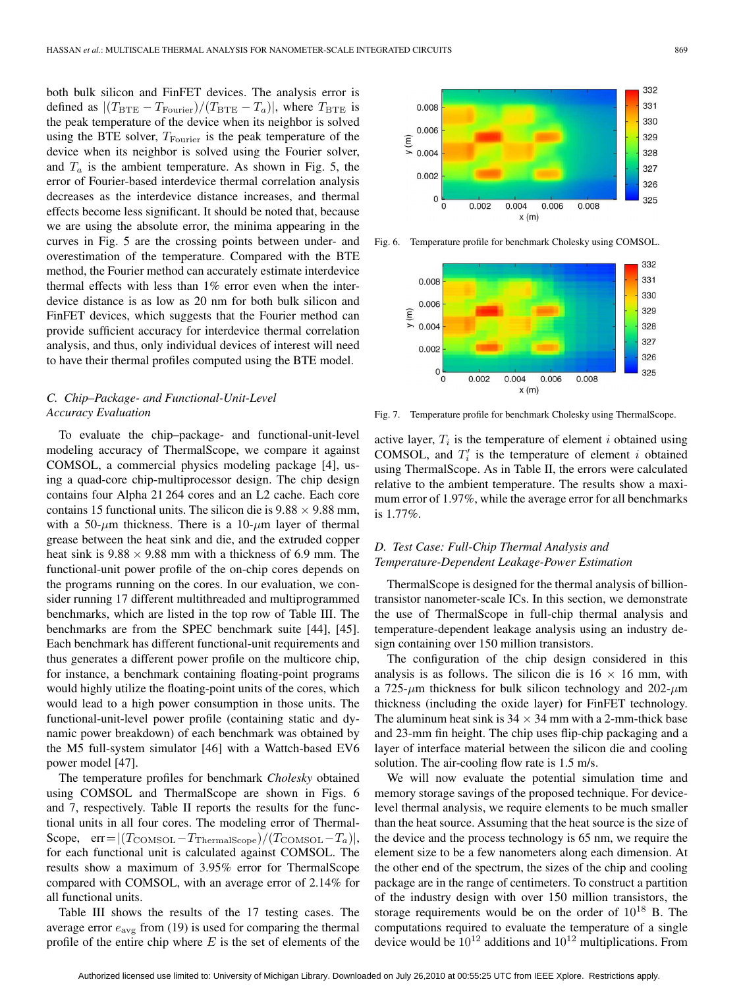both bulk silicon and FinFET devices. The analysis error is defined as  $|(T_{\text{BTE}} - T_{\text{Fourier}})/(T_{\text{BTE}} - T_a)|$ , where  $T_{\text{BTE}}$  is the peak temperature of the device when its neighbor is solved using the BTE solver,  $T_{\text{Fourier}}$  is the peak temperature of the device when its neighbor is solved using the Fourier solver, and  $T_a$  is the ambient temperature. As shown in Fig. 5, the error of Fourier-based interdevice thermal correlation analysis decreases as the interdevice distance increases, and thermal effects become less significant. It should be noted that, because we are using the absolute error, the minima appearing in the curves in Fig. 5 are the crossing points between under- and overestimation of the temperature. Compared with the BTE method, the Fourier method can accurately estimate interdevice thermal effects with less than 1% error even when the interdevice distance is as low as 20 nm for both bulk silicon and FinFET devices, which suggests that the Fourier method can provide sufficient accuracy for interdevice thermal correlation analysis, and thus, only individual devices of interest will need to have their thermal profiles computed using the BTE model.

# *C. Chip–Package- and Functional-Unit-Level Accuracy Evaluation*

To evaluate the chip–package- and functional-unit-level modeling accuracy of ThermalScope, we compare it against COMSOL, a commercial physics modeling package [4], using a quad-core chip-multiprocessor design. The chip design contains four Alpha 21 264 cores and an L2 cache. Each core contains 15 functional units. The silicon die is  $9.88 \times 9.88$  mm, with a 50- $\mu$ m thickness. There is a 10- $\mu$ m layer of thermal grease between the heat sink and die, and the extruded copper heat sink is  $9.88 \times 9.88$  mm with a thickness of 6.9 mm. The functional-unit power profile of the on-chip cores depends on the programs running on the cores. In our evaluation, we consider running 17 different multithreaded and multiprogrammed benchmarks, which are listed in the top row of Table III. The benchmarks are from the SPEC benchmark suite [44], [45]. Each benchmark has different functional-unit requirements and thus generates a different power profile on the multicore chip, for instance, a benchmark containing floating-point programs would highly utilize the floating-point units of the cores, which would lead to a high power consumption in those units. The functional-unit-level power profile (containing static and dynamic power breakdown) of each benchmark was obtained by the M5 full-system simulator [46] with a Wattch-based EV6 power model [47].

The temperature profiles for benchmark *Cholesky* obtained using COMSOL and ThermalScope are shown in Figs. 6 and 7, respectively. Table II reports the results for the functional units in all four cores. The modeling error of Thermal-Scope,  $err=[(T_{COMSOL}-T_{ThermalScope})/(T_{COMSOL}-T_a)],$ for each functional unit is calculated against COMSOL. The results show a maximum of 3.95% error for ThermalScope compared with COMSOL, with an average error of 2.14% for all functional units.

Table III shows the results of the 17 testing cases. The average error  $e_{\text{avg}}$  from (19) is used for comparing the thermal profile of the entire chip where  $E$  is the set of elements of the

 $x(m)$ Fig. 7. Temperature profile for benchmark Cholesky using ThermalScope.

0.006

0.008

0.004

 $0.002$ 

 $\circ$ <sup>o</sup>

0.002

active layer,  $T_i$  is the temperature of element i obtained using COMSOL, and  $T_i'$  is the temperature of element i obtained using ThermalScope. As in Table II, the errors were calculated relative to the ambient temperature. The results show a maximum error of 1.97%, while the average error for all benchmarks is 1.77%.

# *D. Test Case: Full-Chip Thermal Analysis and Temperature-Dependent Leakage-Power Estimation*

ThermalScope is designed for the thermal analysis of billiontransistor nanometer-scale ICs. In this section, we demonstrate the use of ThermalScope in full-chip thermal analysis and temperature-dependent leakage analysis using an industry design containing over 150 million transistors.

The configuration of the chip design considered in this analysis is as follows. The silicon die is  $16 \times 16$  mm, with a 725- $\mu$ m thickness for bulk silicon technology and 202- $\mu$ m thickness (including the oxide layer) for FinFET technology. The aluminum heat sink is  $34 \times 34$  mm with a 2-mm-thick base and 23-mm fin height. The chip uses flip-chip packaging and a layer of interface material between the silicon die and cooling solution. The air-cooling flow rate is 1.5 m/s.

We will now evaluate the potential simulation time and memory storage savings of the proposed technique. For devicelevel thermal analysis, we require elements to be much smaller than the heat source. Assuming that the heat source is the size of the device and the process technology is 65 nm, we require the element size to be a few nanometers along each dimension. At the other end of the spectrum, the sizes of the chip and cooling package are in the range of centimeters. To construct a partition of the industry design with over 150 million transistors, the storage requirements would be on the order of  $10^{18}$  B. The device would be  $10^{12}$  additions and  $10^{12}$  multiplications. From

computations required to evaluate the temperature of a single





327

326

325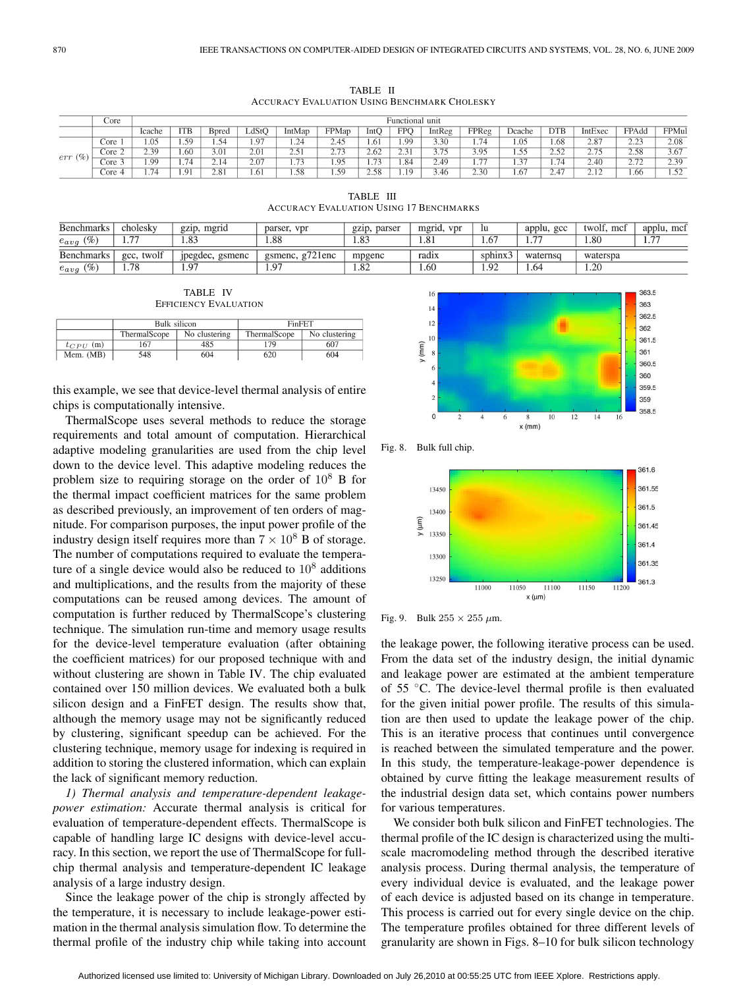|           | Core          | Functional unit          |            |               |       |                          |                  |              |                       |                 |                          |           |                    |               |                                      |       |
|-----------|---------------|--------------------------|------------|---------------|-------|--------------------------|------------------|--------------|-----------------------|-----------------|--------------------------|-----------|--------------------|---------------|--------------------------------------|-------|
|           |               | Icache                   | <b>ITB</b> | <b>B</b> pred | LdStO | IntMap                   | FPMap            | IntO         | <b>FPO</b>            | IntReg          | FPReg                    | Dcache    | <b>DTB</b>         | IntExec       | FPAdd                                | FPMul |
|           | Core          | 05.ء                     | . . 59     | . . 54        | 1.97  | $\sim$<br>.              | 2.45             | 1.0.         | 99.ء                  | 3.30            | 1.74                     | 1.05      | 1.68               | 2.87          | വ വാ<br>dealer to dealer have        | 2.08  |
| (%<br>err | core 2        | 2.39                     | 1.60       | 3.01          | 2.01  | $\leq$<br>. ل            | ים ה<br><u>.</u> | 2.62         | $\mathbf{z}$<br>دريمه | 75<br>ر ، ، ، ب | 3.95                     | رہ رہے ہے | $\leq$<br>ے رہے کہ | 275<br>2.13   | 250<br>ی رہے ہے                      | 3.67  |
|           | $_{\rm core}$ | .99                      |            |               | 2.07  | $\sim$<br>1 . <i>I J</i> | 1.95             | m            | 1.84                  | 2.49            | $\overline{\phantom{m}}$ | ر د       | 1.74               | 2.40          | $\overline{\phantom{0}}$<br>$\sim -$ | 2.39  |
|           | Core 4        | $\overline{\phantom{a}}$ | 1.9        | າດ:<br>2.8    | 1.O I | .58                      | $1.5^\circ$      | 50<br>المدسك | .                     | 3.46            | 2.30                     | 1.67      | д<br>              | $\sim$ $\sim$ | 1.66                                 | 1.52  |

TABLE II ACCURACY EVALUATION USING BENCHMARK CHOLESKY

TABLE III ACCURACY EVALUATION USING 17 BENCHMARKS

| <b>Benchmarks</b>     | cholesky             | mgria<br>QZ1D  | parser, vpr             | parser<br>gzip,  | mgrid,<br>vpr | -lu           | $_{\rm{acc}}$<br>applu, | mct<br>twolf, | applu, mct |
|-----------------------|----------------------|----------------|-------------------------|------------------|---------------|---------------|-------------------------|---------------|------------|
| (0)<br>$e_{avg}$<br>w | $\overline{a}$       | 1.00           | . 88                    | $\Omega$<br>1.83 | 1.81          | $1.6^{\circ}$ | $-$<br>.                | .80           | $-$        |
| Benchmarks            | twolf<br>$\rm{ecc.}$ | pegdec, gsmenc | $. g721$ enc<br>gsmenc, | mpgenc           | radix         | sphinx.       | waternsg                | waterspa      |            |
| $\%$<br>$e_{avg}$     | 70<br>1.78           | -97<br>        | 1.97                    | . 82             | . .60         | 1.92          | 1.64                    | 1.20          |            |

TABLE IV EFFICIENCY EVALUATION

|               | Bulk silicon |               | FinFET       |               |  |  |
|---------------|--------------|---------------|--------------|---------------|--|--|
|               | ThermalScope | No clustering | ThermalScope | No clustering |  |  |
| $t_{CPU}$ (m) | 67           | 485           | 179          | 607           |  |  |
| Mem. (MB)     | 548          | 604           | 620          | 604           |  |  |

this example, we see that device-level thermal analysis of entire chips is computationally intensive.

ThermalScope uses several methods to reduce the storage requirements and total amount of computation. Hierarchical adaptive modeling granularities are used from the chip level down to the device level. This adaptive modeling reduces the problem size to requiring storage on the order of  $10^8$  B for the thermal impact coefficient matrices for the same problem as described previously, an improvement of ten orders of magnitude. For comparison purposes, the input power profile of the industry design itself requires more than  $7 \times 10^8$  B of storage. The number of computations required to evaluate the temperature of a single device would also be reduced to  $10^8$  additions and multiplications, and the results from the majority of these computations can be reused among devices. The amount of computation is further reduced by ThermalScope's clustering technique. The simulation run-time and memory usage results for the device-level temperature evaluation (after obtaining the coefficient matrices) for our proposed technique with and without clustering are shown in Table IV. The chip evaluated contained over 150 million devices. We evaluated both a bulk silicon design and a FinFET design. The results show that, although the memory usage may not be significantly reduced by clustering, significant speedup can be achieved. For the clustering technique, memory usage for indexing is required in addition to storing the clustered information, which can explain the lack of significant memory reduction.

*1) Thermal analysis and temperature-dependent leakagepower estimation:* Accurate thermal analysis is critical for evaluation of temperature-dependent effects. ThermalScope is capable of handling large IC designs with device-level accuracy. In this section, we report the use of ThermalScope for fullchip thermal analysis and temperature-dependent IC leakage analysis of a large industry design.

Since the leakage power of the chip is strongly affected by the temperature, it is necessary to include leakage-power estimation in the thermal analysis simulation flow. To determine the thermal profile of the industry chip while taking into account



Fig. 8. Bulk full chip.



Fig. 9. Bulk  $255 \times 255 \ \mu \text{m}$ .

the leakage power, the following iterative process can be used. From the data set of the industry design, the initial dynamic and leakage power are estimated at the ambient temperature of 55 ◦C. The device-level thermal profile is then evaluated for the given initial power profile. The results of this simulation are then used to update the leakage power of the chip. This is an iterative process that continues until convergence is reached between the simulated temperature and the power. In this study, the temperature-leakage-power dependence is obtained by curve fitting the leakage measurement results of the industrial design data set, which contains power numbers for various temperatures.

We consider both bulk silicon and FinFET technologies. The thermal profile of the IC design is characterized using the multiscale macromodeling method through the described iterative analysis process. During thermal analysis, the temperature of every individual device is evaluated, and the leakage power of each device is adjusted based on its change in temperature. This process is carried out for every single device on the chip. The temperature profiles obtained for three different levels of granularity are shown in Figs. 8–10 for bulk silicon technology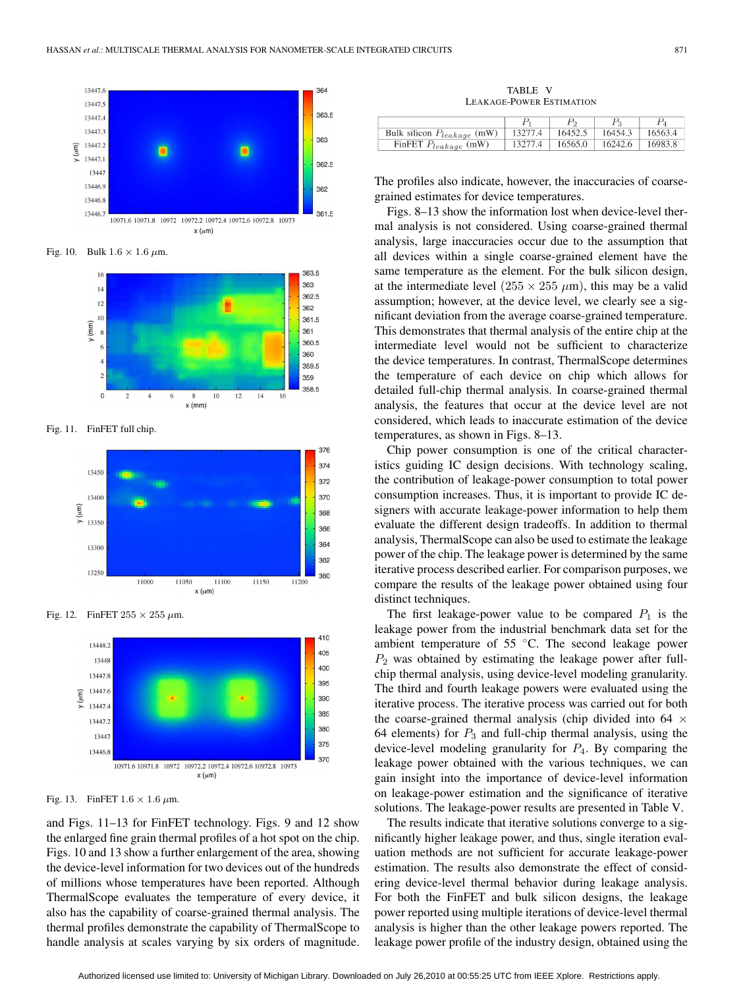

Fig. 10. Bulk  $1.6 \times 1.6 \ \mu$ m.



Fig. 11. FinFET full chip.



Fig. 12. FinFET  $255 \times 255 \ \mu \text{m}$ .



Fig. 13. FinFET  $1.6 \times 1.6 \mu$ m.

and Figs. 11–13 for FinFET technology. Figs. 9 and 12 show the enlarged fine grain thermal profiles of a hot spot on the chip. Figs. 10 and 13 show a further enlargement of the area, showing the device-level information for two devices out of the hundreds of millions whose temperatures have been reported. Although ThermalScope evaluates the temperature of every device, it also has the capability of coarse-grained thermal analysis. The thermal profiles demonstrate the capability of ThermalScope to handle analysis at scales varying by six orders of magnitude.

TABLE V LEAKAGE-POWER ESTIMATION

| Bulk silicon $P_{leakage}$ (mW) | 13277.4 | 16452.5 | 16454.3 | 16563.4 |
|---------------------------------|---------|---------|---------|---------|
| FinFET $P_{leakage}$ (mW)       | 13277.4 | 16565.0 | 16242.6 | 16983.8 |

The profiles also indicate, however, the inaccuracies of coarsegrained estimates for device temperatures.

Figs. 8–13 show the information lost when device-level thermal analysis is not considered. Using coarse-grained thermal analysis, large inaccuracies occur due to the assumption that all devices within a single coarse-grained element have the same temperature as the element. For the bulk silicon design, at the intermediate level  $(255 \times 255 \ \mu m)$ , this may be a valid assumption; however, at the device level, we clearly see a significant deviation from the average coarse-grained temperature. This demonstrates that thermal analysis of the entire chip at the intermediate level would not be sufficient to characterize the device temperatures. In contrast, ThermalScope determines the temperature of each device on chip which allows for detailed full-chip thermal analysis. In coarse-grained thermal analysis, the features that occur at the device level are not considered, which leads to inaccurate estimation of the device temperatures, as shown in Figs. 8–13.

Chip power consumption is one of the critical characteristics guiding IC design decisions. With technology scaling, the contribution of leakage-power consumption to total power consumption increases. Thus, it is important to provide IC designers with accurate leakage-power information to help them evaluate the different design tradeoffs. In addition to thermal analysis, ThermalScope can also be used to estimate the leakage power of the chip. The leakage power is determined by the same iterative process described earlier. For comparison purposes, we compare the results of the leakage power obtained using four distinct techniques.

The first leakage-power value to be compared  $P_1$  is the leakage power from the industrial benchmark data set for the ambient temperature of 55 ◦C. The second leakage power  $P<sub>2</sub>$  was obtained by estimating the leakage power after fullchip thermal analysis, using device-level modeling granularity. The third and fourth leakage powers were evaluated using the iterative process. The iterative process was carried out for both the coarse-grained thermal analysis (chip divided into 64  $\times$ 64 elements) for  $P_3$  and full-chip thermal analysis, using the device-level modeling granularity for  $P_4$ . By comparing the leakage power obtained with the various techniques, we can gain insight into the importance of device-level information on leakage-power estimation and the significance of iterative solutions. The leakage-power results are presented in Table V.

The results indicate that iterative solutions converge to a significantly higher leakage power, and thus, single iteration evaluation methods are not sufficient for accurate leakage-power estimation. The results also demonstrate the effect of considering device-level thermal behavior during leakage analysis. For both the FinFET and bulk silicon designs, the leakage power reported using multiple iterations of device-level thermal analysis is higher than the other leakage powers reported. The leakage power profile of the industry design, obtained using the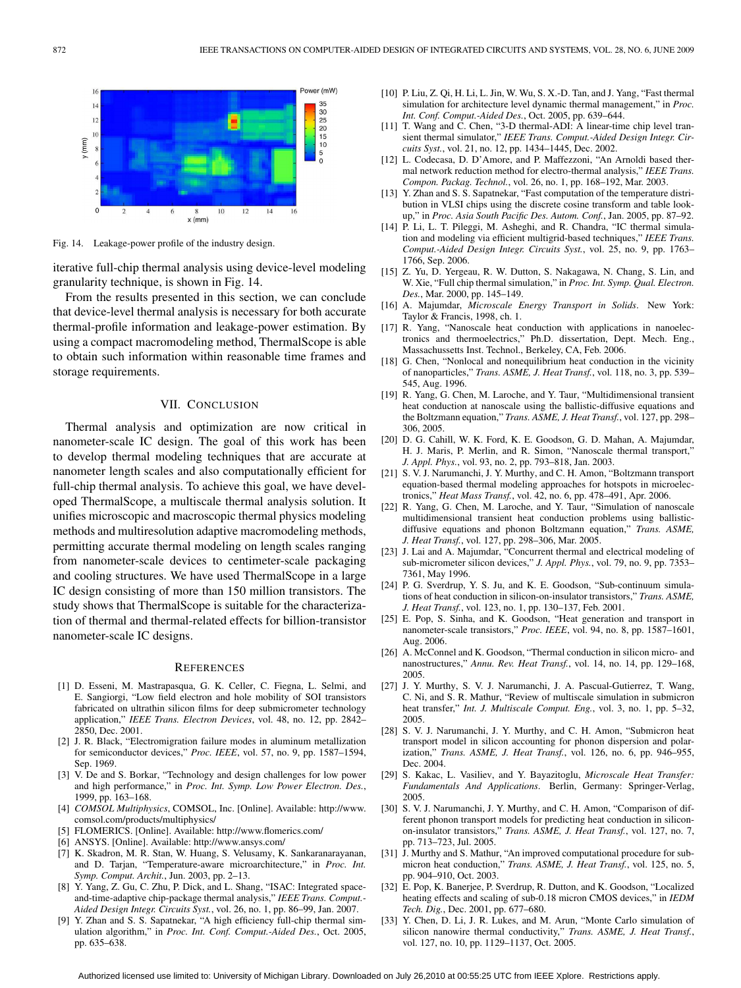

Fig. 14. Leakage-power profile of the industry design.

iterative full-chip thermal analysis using device-level modeling granularity technique, is shown in Fig. 14.

From the results presented in this section, we can conclude that device-level thermal analysis is necessary for both accurate thermal-profile information and leakage-power estimation. By using a compact macromodeling method, ThermalScope is able to obtain such information within reasonable time frames and storage requirements.

## VII. CONCLUSION

Thermal analysis and optimization are now critical in nanometer-scale IC design. The goal of this work has been to develop thermal modeling techniques that are accurate at nanometer length scales and also computationally efficient for full-chip thermal analysis. To achieve this goal, we have developed ThermalScope, a multiscale thermal analysis solution. It unifies microscopic and macroscopic thermal physics modeling methods and multiresolution adaptive macromodeling methods, permitting accurate thermal modeling on length scales ranging from nanometer-scale devices to centimeter-scale packaging and cooling structures. We have used ThermalScope in a large IC design consisting of more than 150 million transistors. The study shows that ThermalScope is suitable for the characterization of thermal and thermal-related effects for billion-transistor nanometer-scale IC designs.

#### **REFERENCES**

- [1] D. Esseni, M. Mastrapasqua, G. K. Celler, C. Fiegna, L. Selmi, and E. Sangiorgi, "Low field electron and hole mobility of SOI transistors fabricated on ultrathin silicon films for deep submicrometer technology application," *IEEE Trans. Electron Devices*, vol. 48, no. 12, pp. 2842– 2850, Dec. 2001.
- [2] J. R. Black, "Electromigration failure modes in aluminum metallization for semiconductor devices," *Proc. IEEE*, vol. 57, no. 9, pp. 1587–1594, Sep. 1969.
- [3] V. De and S. Borkar, "Technology and design challenges for low power and high performance," in *Proc. Int. Symp. Low Power Electron. Des.*, 1999, pp. 163–168.
- [4] *COMSOL Multiphysics*, COMSOL, Inc. [Online]. Available: http://www. comsol.com/products/multiphysics/
- [5] FLOMERICS. [Online]. Available: http://www.flomerics.com/
- [6] ANSYS. [Online]. Available: http://www.ansys.com/
- [7] K. Skadron, M. R. Stan, W. Huang, S. Velusamy, K. Sankaranarayanan, and D. Tarjan, "Temperature-aware microarchitecture," in *Proc. Int. Symp. Comput. Archit.*, Jun. 2003, pp. 2–13.
- [8] Y. Yang, Z. Gu, C. Zhu, P. Dick, and L. Shang, "ISAC: Integrated spaceand-time-adaptive chip-package thermal analysis," *IEEE Trans. Comput.- Aided Design Integr. Circuits Syst.*, vol. 26, no. 1, pp. 86–99, Jan. 2007.
- [9] Y. Zhan and S. S. Sapatnekar, "A high efficiency full-chip thermal simulation algorithm," in *Proc. Int. Conf. Comput.-Aided Des.*, Oct. 2005, pp. 635–638.
- [10] P. Liu, Z. Qi, H. Li, L. Jin, W. Wu, S. X.-D. Tan, and J. Yang, "Fast thermal simulation for architecture level dynamic thermal management," in *Proc. Int. Conf. Comput.-Aided Des.*, Oct. 2005, pp. 639–644.
- [11] T. Wang and C. Chen, "3-D thermal-ADI: A linear-time chip level transient thermal simulator," *IEEE Trans. Comput.-Aided Design Integr. Circuits Syst.*, vol. 21, no. 12, pp. 1434–1445, Dec. 2002.
- [12] L. Codecasa, D. D'Amore, and P. Maffezzoni, "An Arnoldi based thermal network reduction method for electro-thermal analysis," *IEEE Trans. Compon. Packag. Technol.*, vol. 26, no. 1, pp. 168–192, Mar. 2003.
- [13] Y. Zhan and S. S. Sapatnekar, "Fast computation of the temperature distribution in VLSI chips using the discrete cosine transform and table lookup," in *Proc. Asia South Pacific Des. Autom. Conf.*, Jan. 2005, pp. 87–92.
- [14] P. Li, L. T. Pileggi, M. Asheghi, and R. Chandra, "IC thermal simulation and modeling via efficient multigrid-based techniques," *IEEE Trans. Comput.-Aided Design Integr. Circuits Syst.*, vol. 25, no. 9, pp. 1763– 1766, Sep. 2006.
- [15] Z. Yu, D. Yergeau, R. W. Dutton, S. Nakagawa, N. Chang, S. Lin, and W. Xie, "Full chip thermal simulation," in *Proc. Int. Symp. Qual. Electron. Des.*, Mar. 2000, pp. 145–149.
- [16] A. Majumdar, *Microscale Energy Transport in Solids*. New York: Taylor & Francis, 1998, ch. 1.
- [17] R. Yang, "Nanoscale heat conduction with applications in nanoelectronics and thermoelectrics," Ph.D. dissertation, Dept. Mech. Eng., Massachussetts Inst. Technol., Berkeley, CA, Feb. 2006.
- [18] G. Chen, "Nonlocal and nonequilibrium heat conduction in the vicinity of nanoparticles," *Trans. ASME, J. Heat Transf.*, vol. 118, no. 3, pp. 539– 545, Aug. 1996.
- [19] R. Yang, G. Chen, M. Laroche, and Y. Taur, "Multidimensional transient heat conduction at nanoscale using the ballistic-diffusive equations and the Boltzmann equation," *Trans. ASME, J. Heat Transf.*, vol. 127, pp. 298– 306, 2005.
- [20] D. G. Cahill, W. K. Ford, K. E. Goodson, G. D. Mahan, A. Majumdar, H. J. Maris, P. Merlin, and R. Simon, "Nanoscale thermal transport," *J. Appl. Phys.*, vol. 93, no. 2, pp. 793–818, Jan. 2003.
- [21] S. V. J. Narumanchi, J. Y. Murthy, and C. H. Amon, "Boltzmann transport equation-based thermal modeling approaches for hotspots in microelectronics," *Heat Mass Transf.*, vol. 42, no. 6, pp. 478–491, Apr. 2006.
- [22] R. Yang, G. Chen, M. Laroche, and Y. Taur, "Simulation of nanoscale multidimensional transient heat conduction problems using ballisticdiffusive equations and phonon Boltzmann equation," *Trans. ASME, J. Heat Transf.*, vol. 127, pp. 298–306, Mar. 2005.
- [23] J. Lai and A. Majumdar, "Concurrent thermal and electrical modeling of sub-micrometer silicon devices," *J. Appl. Phys.*, vol. 79, no. 9, pp. 7353– 7361, May 1996.
- [24] P. G. Sverdrup, Y. S. Ju, and K. E. Goodson, "Sub-continuum simulations of heat conduction in silicon-on-insulator transistors," *Trans. ASME, J. Heat Transf.*, vol. 123, no. 1, pp. 130–137, Feb. 2001.
- [25] E. Pop, S. Sinha, and K. Goodson, "Heat generation and transport in nanometer-scale transistors," *Proc. IEEE*, vol. 94, no. 8, pp. 1587–1601, Aug. 2006.
- [26] A. McConnel and K. Goodson, "Thermal conduction in silicon micro- and nanostructures," *Annu. Rev. Heat Transf.*, vol. 14, no. 14, pp. 129–168, 2005.
- [27] J. Y. Murthy, S. V. J. Narumanchi, J. A. Pascual-Gutierrez, T. Wang, C. Ni, and S. R. Mathur, "Review of multiscale simulation in submicron heat transfer," *Int. J. Multiscale Comput. Eng.*, vol. 3, no. 1, pp. 5–32, 2005.
- [28] S. V. J. Narumanchi, J. Y. Murthy, and C. H. Amon, "Submicron heat transport model in silicon accounting for phonon dispersion and polarization," *Trans. ASME, J. Heat Transf.*, vol. 126, no. 6, pp. 946–955, Dec. 2004.
- [29] S. Kakac, L. Vasiliev, and Y. Bayazitoglu, *Microscale Heat Transfer: Fundamentals And Applications*. Berlin, Germany: Springer-Verlag, 2005.
- [30] S. V. J. Narumanchi, J. Y. Murthy, and C. H. Amon, "Comparison of different phonon transport models for predicting heat conduction in siliconon-insulator transistors," *Trans. ASME, J. Heat Transf.*, vol. 127, no. 7, pp. 713–723, Jul. 2005.
- [31] J. Murthy and S. Mathur, "An improved computational procedure for submicron heat conduction," *Trans. ASME, J. Heat Transf.*, vol. 125, no. 5, pp. 904–910, Oct. 2003.
- [32] E. Pop, K. Banerjee, P. Sverdrup, R. Dutton, and K. Goodson, "Localized heating effects and scaling of sub-0.18 micron CMOS devices," in *IEDM Tech. Dig.*, Dec. 2001, pp. 677–680.
- [33] Y. Chen, D. Li, J. R. Lukes, and M. Arun, "Monte Carlo simulation of silicon nanowire thermal conductivity," *Trans. ASME, J. Heat Transf.*, vol. 127, no. 10, pp. 1129–1137, Oct. 2005.